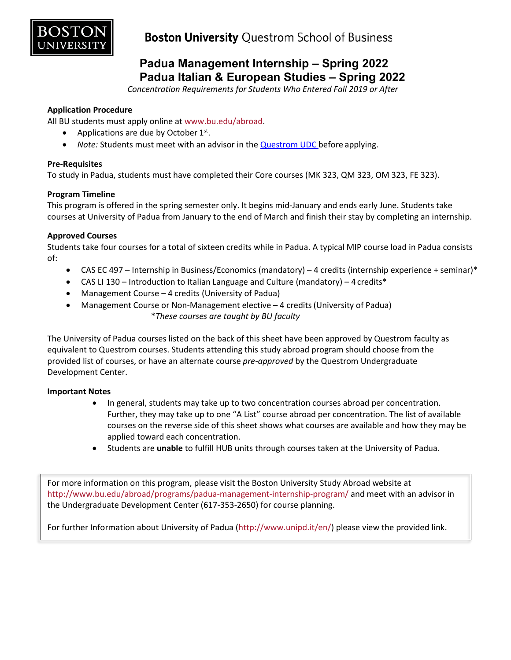

# **Padua Management Internship – Spring 2022 Padua Italian & European Studies – Spring 2022**

*Concentration Requirements for Students Who Entered Fall 2019 or After*

### **Application Procedure**

All BU students must apply online at [www.bu.edu/abroad.](http://www.bu.edu/abroad)

- Applications are due by October  $1^{st}$ .
- *Note:* Students must meet with an advisor in the [Questrom UDC b](http://questromworld.bu.edu/studyabroad/advising/)efore applying.

### **Pre-Requisites**

To study in Padua, students must have completed their Core courses (MK 323, QM 323, OM 323, FE 323).

### **Program Timeline**

This program is offered in the spring semester only. It begins mid-January and ends early June. Students take courses at University of Padua from January to the end of March and finish their stay by completing an internship.

### **Approved Courses**

Students take four courses for a total of sixteen credits while in Padua. A typical MIP course load in Padua consists of:

- CAS EC 497 Internship in Business/Economics (mandatory) 4 credits (internship experience + seminar)\*
- CAS LI 130 Introduction to Italian Language and Culture (mandatory) 4 credits\*
- Management Course 4 credits (University of Padua)
- Management Course or Non-Management elective 4 credits (University of Padua) \**These courses are taught by BU faculty*

The University of Padua courses listed on the back of this sheet have been approved by Questrom faculty as equivalent to Questrom courses. Students attending this study abroad program should choose from the provided list of courses, or have an alternate course *pre-approved* by the Questrom Undergraduate Development Center.

### **Important Notes**

- In general, students may take up to two concentration courses abroad per concentration. Further, they may take up to one "A List" course abroad per concentration. The list of available courses on the reverse side of this sheet shows what courses are available and how they may be applied toward each concentration.
- Students are **unable** to fulfill HUB units through courses taken at the University of Padua.

For more information on this program, please visit the Boston University Study Abroad website at <http://www.bu.edu/abroad/programs/padua-management-internship-program/> and meet with an advisor in the Undergraduate Development Center (617-353-2650) for course planning.

For further Information about University of Padua [\(http://www.unipd.it/en/\)](http://www.unipd.it/en/) please view the provided link.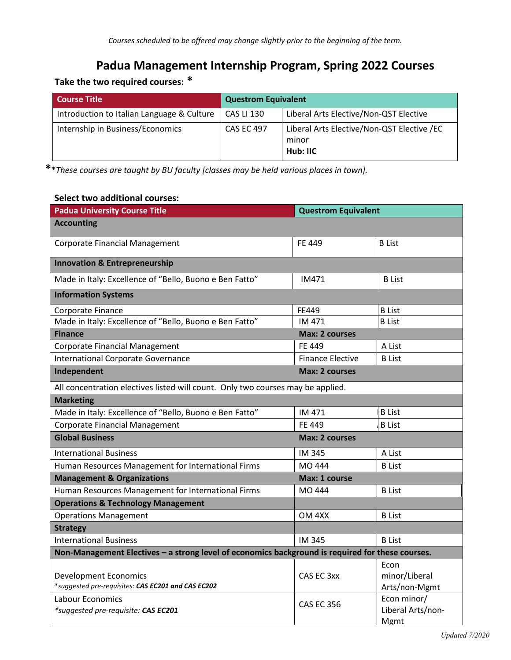# **Padua Management Internship Program, Spring 2022 Courses**

# **Take the two required courses: \***

| <b>Course Title</b>                        | <b>Questrom Equivalent</b> |                                                                 |
|--------------------------------------------|----------------------------|-----------------------------------------------------------------|
| Introduction to Italian Language & Culture | <b>CAS LI 130</b>          | Liberal Arts Elective/Non-QST Elective                          |
| Internship in Business/Economics           | <b>CAS EC 497</b>          | Liberal Arts Elective/Non-QST Elective /EC<br>minor<br>Hub: IIC |

**\***\**These courses are taught by BU faculty [classes may be held various places in town].*

## **Select two additional courses:**

| <b>Padua University Course Title</b>                                                             | <b>Questrom Equivalent</b> |                                                 |
|--------------------------------------------------------------------------------------------------|----------------------------|-------------------------------------------------|
| <b>Accounting</b>                                                                                |                            |                                                 |
| <b>Corporate Financial Management</b>                                                            | FF 449                     | <b>B</b> List                                   |
| <b>Innovation &amp; Entrepreneurship</b>                                                         |                            |                                                 |
| Made in Italy: Excellence of "Bello, Buono e Ben Fatto"                                          | IM471                      | <b>B</b> List                                   |
| <b>Information Systems</b>                                                                       |                            |                                                 |
| Corporate Finance                                                                                | FE449                      | <b>B</b> List                                   |
| Made in Italy: Excellence of "Bello, Buono e Ben Fatto"                                          | IM 471                     | <b>B</b> List                                   |
| <b>Finance</b>                                                                                   | <b>Max: 2 courses</b>      |                                                 |
| Corporate Financial Management                                                                   | FE 449                     | A List                                          |
| International Corporate Governance                                                               | <b>Finance Elective</b>    | <b>B</b> List                                   |
| Independent                                                                                      | <b>Max: 2 courses</b>      |                                                 |
| All concentration electives listed will count. Only two courses may be applied.                  |                            |                                                 |
| <b>Marketing</b>                                                                                 |                            |                                                 |
| Made in Italy: Excellence of "Bello, Buono e Ben Fatto"                                          | IM 471                     | <b>B</b> List                                   |
| <b>Corporate Financial Management</b>                                                            | FF 449                     | <b>B</b> List                                   |
| <b>Global Business</b>                                                                           | <b>Max: 2 courses</b>      |                                                 |
| <b>International Business</b>                                                                    | IM 345                     | A List                                          |
| Human Resources Management for International Firms                                               | MO 444                     | <b>B</b> List                                   |
| <b>Management &amp; Organizations</b>                                                            | Max: 1 course              |                                                 |
| Human Resources Management for International Firms                                               | MO 444                     | <b>B</b> List                                   |
| <b>Operations &amp; Technology Management</b>                                                    |                            |                                                 |
| <b>Operations Management</b>                                                                     | OM 4XX                     | <b>B</b> List                                   |
| <b>Strategy</b>                                                                                  |                            |                                                 |
| <b>International Business</b>                                                                    | <b>IM 345</b>              | <b>B</b> List                                   |
| Non-Management Electives - a strong level of economics background is required for these courses. |                            |                                                 |
| <b>Development Economics</b><br>*suggested pre-requisites: CAS EC201 and CAS EC202               | CAS EC 3xx                 | Econ<br>minor/Liberal<br>Arts/non-Mgmt          |
| Labour Economics<br>*suggested pre-requisite: CAS EC201                                          | <b>CAS EC 356</b>          | Econ minor/<br>Liberal Arts/non-<br><b>Mgmt</b> |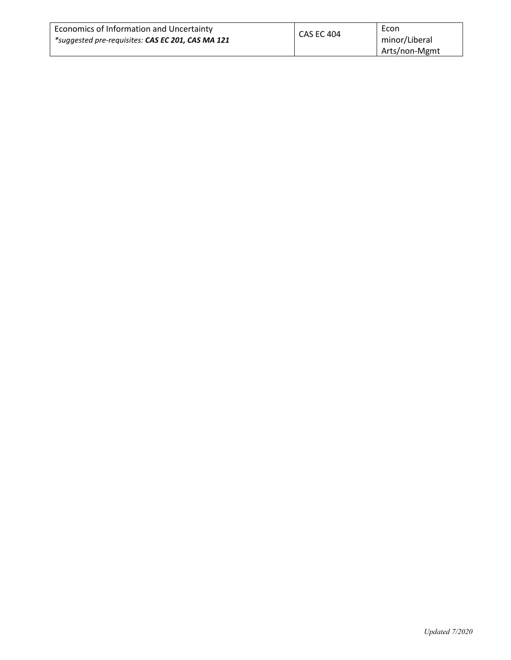| Economics of Information and Uncertainty          | <b>CAS EC 404</b> | Econ          |
|---------------------------------------------------|-------------------|---------------|
| *suggested pre-requisites: CAS EC 201, CAS MA 121 | minor/Liberal     |               |
|                                                   |                   | Arts/non-Mgmt |